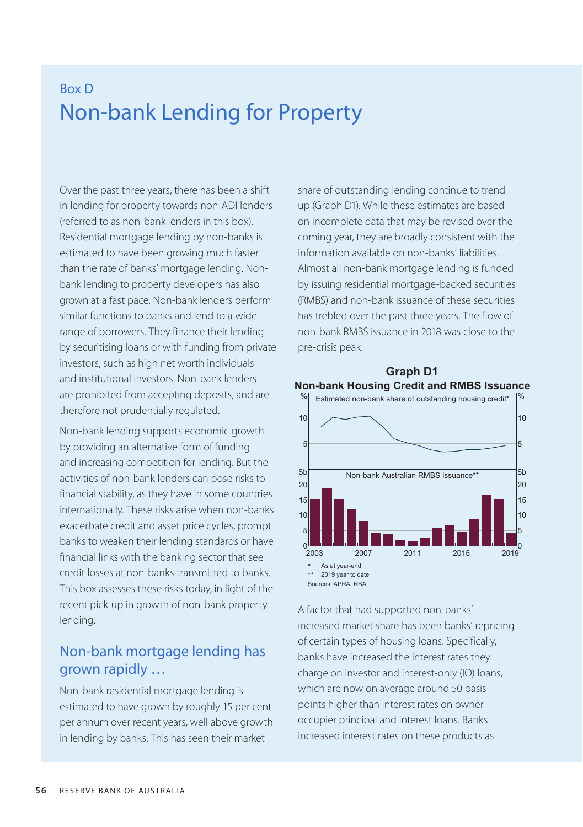# Box D Non-bank Lending for Property

Over the past three years, there has been a shift in lending for property towards non-ADI lenders (referred to as non-bank lenders in this box). Residential mortgage lending by non-banks is estimated to have been growing much faster than the rate of banks' mortgage lending. Nonbank lending to property developers has also grown at a fast pace. Non-bank lenders perform similar functions to banks and lend to a wide range of borrowers. They finance their lending by securitising loans or with funding from private investors, such as high net worth individuals and institutional investors. Non-bank lenders are prohibited from accepting deposits, and are therefore not prudentially regulated.

Non-bank lending supports economic growth by providing an alternative form of funding and increasing competition for lending. But the activities of non-bank lenders can pose risks to financial stability, as they have in some countries internationally. These risks arise when non-banks exacerbate credit and asset price cycles, prompt banks to weaken their lending standards or have financial links with the banking sector that see credit losses at non-banks transmitted to banks. This box assesses these risks today, in light of the recent pick-up in growth of non-bank property lending.

## Non-bank mortgage lending has grown rapidly …

Non-bank residential mortgage lending is estimated to have grown by roughly 15 per cent per annum over recent years, well above growth in lending by banks. This has seen their market

share of outstanding lending continue to trend up (Graph D1). While these estimates are based on incomplete data that may be revised over the coming year, they are broadly consistent with the information available on non-banks' liabilities. Almost all non-bank mortgage lending is funded by issuing residential mortgage-backed securities (RMBS) and non-bank issuance of these securities has trebled over the past three years. The flow of non-bank RMBS issuance in 2018 was close to the pre-crisis peak.



### **Non-bank Housing Credit and RMBS Issuance Graph D1**

A factor that had supported non-banks' increased market share has been banks' repricing of certain types of housing loans. Specifically, banks have increased the interest rates they charge on investor and interest-only (IO) loans, which are now on average around 50 basis points higher than interest rates on owneroccupier principal and interest loans. Banks increased interest rates on these products as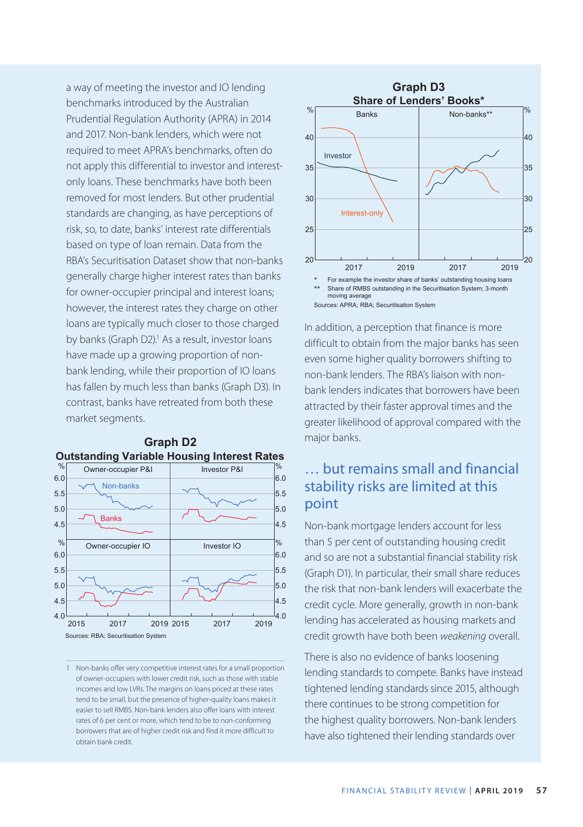a way of meeting the investor and IO lending benchmarks introduced by the Australian Prudential Regulation Authority (APRA) in 2014 and 2017. Non-bank lenders, which were not required to meet APRA's benchmarks, often do not apply this differential to investor and interestonly loans. These benchmarks have both been removed for most lenders. But other prudential standards are changing, as have perceptions of risk, so, to date, banks' interest rate differentials based on type of loan remain. Data from the RBA's Securitisation Dataset show that non-banks generally charge higher interest rates than banks for owner-occupier principal and interest loans; however, the interest rates they charge on other loans are typically much closer to those charged by banks (Graph D2).<sup>1</sup> As a result, investor loans have made up a growing proportion of nonbank lending, while their proportion of IO loans has fallen by much less than banks (Graph D3). In contrast, banks have retreated from both these market segments.



#### **Outstanding Variable Housing Interest Rates Graph D2**

1 Non-banks offer very competitive interest rates for a small proportion of owner-occupiers with lower credit risk, such as those with stable incomes and low LVRs. The margins on loans priced at these rates tend to be small, but the presence of higher-quality loans makes it easier to sell RMBS. Non-bank lenders also offer loans with interest rates of 6 per cent or more, which tend to be to non-conforming borrowers that are of higher credit risk and find it more difficult to obtain bank credit.



In addition, a perception that finance is more difficult to obtain from the major banks has seen even some higher quality borrowers shifting to non-bank lenders. The RBA's liaison with nonbank lenders indicates that borrowers have been attracted by their faster approval times and the greater likelihood of approval compared with the major banks.

# … but remains small and financial stability risks are limited at this point

Non-bank mortgage lenders account for less than 5 per cent of outstanding housing credit and so are not a substantial financial stability risk (Graph D1). In particular, their small share reduces the risk that non-bank lenders will exacerbate the credit cycle. More generally, growth in non-bank lending has accelerated as housing markets and credit growth have both been *weakening* overall.

There is also no evidence of banks loosening lending standards to compete. Banks have instead tightened lending standards since 2015, although there continues to be strong competition for the highest quality borrowers. Non-bank lenders have also tightened their lending standards over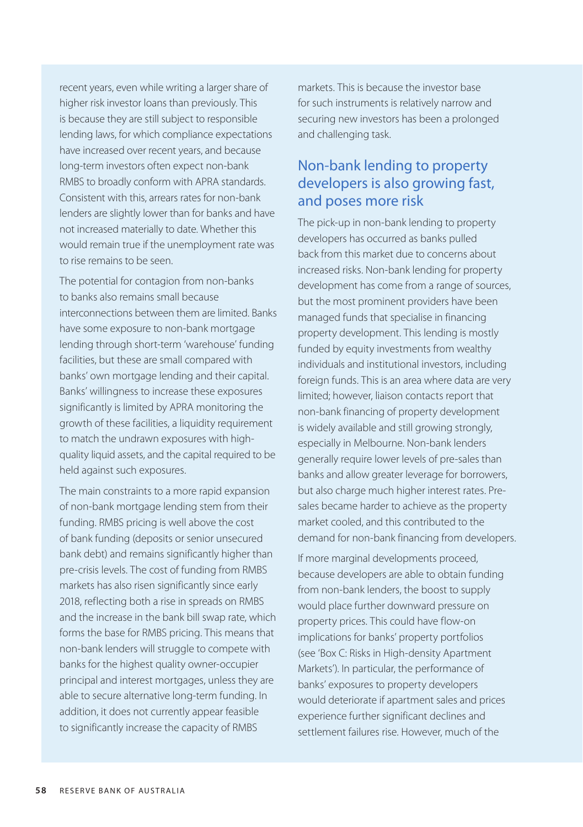recent years, even while writing a larger share of higher risk investor loans than previously. This is because they are still subject to responsible lending laws, for which compliance expectations have increased over recent years, and because long-term investors often expect non-bank RMBS to broadly conform with APRA standards. Consistent with this, arrears rates for non-bank lenders are slightly lower than for banks and have not increased materially to date. Whether this would remain true if the unemployment rate was to rise remains to be seen.

The potential for contagion from non-banks to banks also remains small because interconnections between them are limited. Banks have some exposure to non-bank mortgage lending through short-term 'warehouse' funding facilities, but these are small compared with banks' own mortgage lending and their capital. Banks' willingness to increase these exposures significantly is limited by APRA monitoring the growth of these facilities, a liquidity requirement to match the undrawn exposures with highquality liquid assets, and the capital required to be held against such exposures.

The main constraints to a more rapid expansion of non-bank mortgage lending stem from their funding. RMBS pricing is well above the cost of bank funding (deposits or senior unsecured bank debt) and remains significantly higher than pre-crisis levels. The cost of funding from RMBS markets has also risen significantly since early 2018, reflecting both a rise in spreads on RMBS and the increase in the bank bill swap rate, which forms the base for RMBS pricing. This means that non-bank lenders will struggle to compete with banks for the highest quality owner-occupier principal and interest mortgages, unless they are able to secure alternative long-term funding. In addition, it does not currently appear feasible to significantly increase the capacity of RMBS

markets. This is because the investor base for such instruments is relatively narrow and securing new investors has been a prolonged and challenging task.

## Non-bank lending to property developers is also growing fast, and poses more risk

The pick-up in non-bank lending to property developers has occurred as banks pulled back from this market due to concerns about increased risks. Non-bank lending for property development has come from a range of sources, but the most prominent providers have been managed funds that specialise in financing property development. This lending is mostly funded by equity investments from wealthy individuals and institutional investors, including foreign funds. This is an area where data are very limited; however, liaison contacts report that non-bank financing of property development is widely available and still growing strongly, especially in Melbourne. Non-bank lenders generally require lower levels of pre-sales than banks and allow greater leverage for borrowers, but also charge much higher interest rates. Presales became harder to achieve as the property market cooled, and this contributed to the demand for non-bank financing from developers.

If more marginal developments proceed, because developers are able to obtain funding from non-bank lenders, the boost to supply would place further downward pressure on property prices. This could have flow-on implications for banks' property portfolios (see 'Box C: Risks in High-density Apartment Markets'). In particular, the performance of banks' exposures to property developers would deteriorate if apartment sales and prices experience further significant declines and settlement failures rise. However, much of the